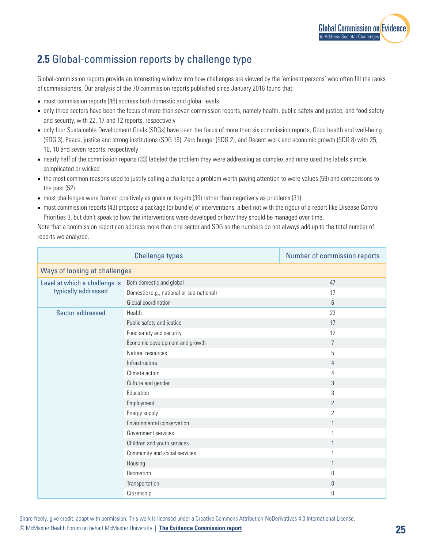

## **2.5** Global-commission reports by challenge type

Global-commission reports provide an interesting window into how challenges are viewed by the 'eminent persons' who often fill the ranks of commissioners. Our analysis of the 70 commission reports published since January 2016 found that:

- most commission reports (46) address both domestic and global levels
- only three sectors have been the focus of more than seven commission reports, namely health, public safety and justice, and food safety and security, with 22, 17 and 12 reports, respectively
- only four Sustainable Development Goals (SDGs) have been the focus of more than six commission reports, Good health and well-being (SDG 3), Peace, justice and strong institutions (SDG 16), Zero hunger (SDG 2), and Decent work and economic growth (SDG 8) with 25, 16, 10 and seven reports, respectively
- nearly half of the commission reports (33) labeled the problem they were addressing as complex and none used the labels simple, complicated or wicked
- the most common reasons used to justify calling a challenge a problem worth paying attention to were values (59) and comparisons to the past (52)
- most challenges were framed positively as goals or targets (39) rather than negatively as problems (31)
- most commission reports (43) propose a package (or bundle) of interventions, albeit not with the rigour of a report like Disease Control Priorities 3, but don't speak to how the interventions were developed or how they should be managed over time.

Note that a commission report can address more than one sector and SDG so the numbers do not always add up to the total number of reports we analyzed.

| <b>Challenge types</b>                               |                                           | Number of commission reports |  |
|------------------------------------------------------|-------------------------------------------|------------------------------|--|
| <b>Ways of looking at challenges</b>                 |                                           |                              |  |
| Level at which a challenge is<br>typically addressed | Both domestic and global                  | 47                           |  |
|                                                      | Domestic (e.g., national or sub-national) | 17                           |  |
|                                                      | Global coordination                       | 6                            |  |
| Sector addressed                                     | Health                                    | 23                           |  |
|                                                      | Public safety and justice                 | 17                           |  |
|                                                      | Food safety and security                  | 12                           |  |
|                                                      | Economic development and growth           | $\overline{7}$               |  |
|                                                      | Natural resources                         | 5                            |  |
|                                                      | Infrastructure                            | $\overline{4}$               |  |
|                                                      | Climate action                            | 4                            |  |
|                                                      | Culture and gender                        | $\mathfrak{Z}$               |  |
|                                                      | Education                                 | 3                            |  |
|                                                      | Employment                                | $\overline{2}$               |  |
|                                                      | Energy supply                             | $\overline{2}$               |  |
|                                                      | Environmental conservation                | 1                            |  |
|                                                      | Government services                       | 1                            |  |
|                                                      | Children and youth services               | 1                            |  |
|                                                      | Community and social services             | 1                            |  |
|                                                      | Housing                                   | 1                            |  |
|                                                      | Recreation                                | $\theta$                     |  |
|                                                      | Transportation                            | $\theta$                     |  |
|                                                      | Citizenship                               | $\theta$                     |  |

Share freely, give credit, adapt with permission. This work is licensed under a Creative Commons Attribution-NoDerivatives 4.0 International License. © McMaster Health Forum on behalf McMaster University | **[The Evidence Commission report](https://www.mcmasterforum.org/networks/evidence-commission/report/english) 25**